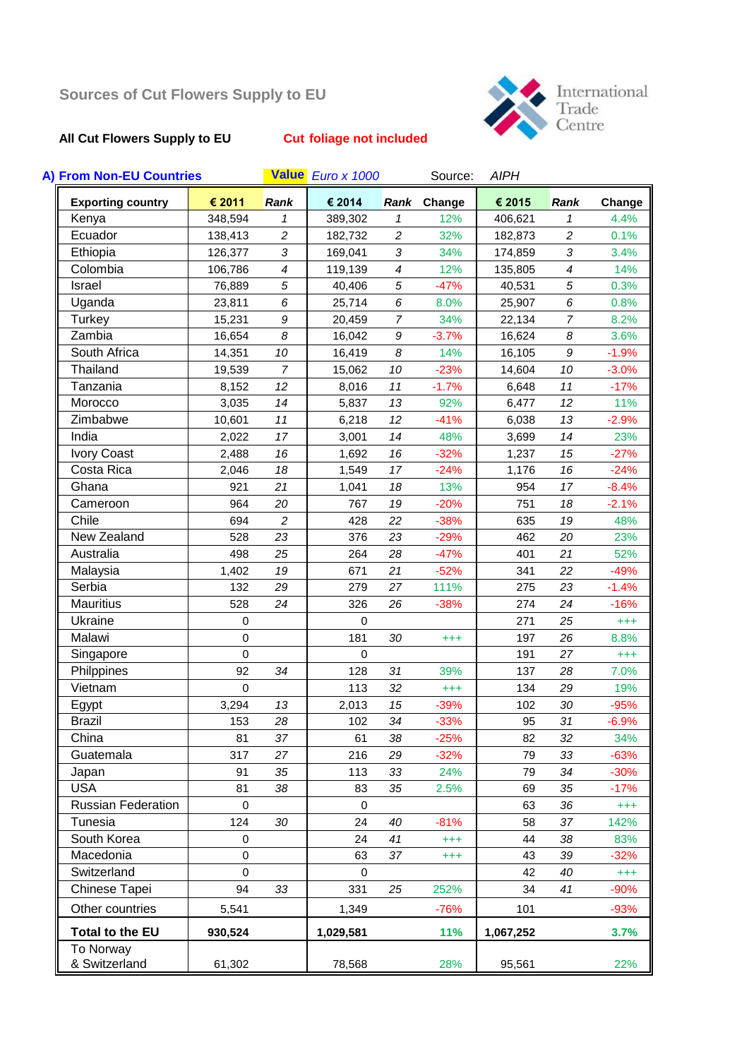# **All Cut Flowers Supply to EU Cut foliage not included**



| A) From Non-EU Countries   |             |                          | Value Euro x 1000 |                  | Source:  | <b>AIPH</b> |                          |          |
|----------------------------|-------------|--------------------------|-------------------|------------------|----------|-------------|--------------------------|----------|
| <b>Exporting country</b>   | € 2011      | Rank                     | € 2014            | Rank             | Change   | € 2015      | Rank                     | Change   |
| Kenya                      | 348,594     | $\mathcal I$             | 389,302           | 1                | 12%      | 406,621     | 1                        | 4.4%     |
| Ecuador                    | 138,413     | $\overline{c}$           | 182,732           | $\overline{c}$   | 32%      | 182,873     | $\overline{c}$           | 0.1%     |
| Ethiopia                   | 126,377     | 3                        | 169,041           | 3                | 34%      | 174,859     | 3                        | 3.4%     |
| Colombia                   | 106,786     | $\overline{\mathcal{A}}$ | 119,139           | $\boldsymbol{4}$ | 12%      | 135,805     | $\overline{\mathcal{A}}$ | 14%      |
| Israel                     | 76,889      | 5                        | 40,406            | 5                | $-47%$   | 40,531      | 5                        | 0.3%     |
| Uganda                     | 23,811      | 6                        | 25,714            | 6                | 8.0%     | 25,907      | 6                        | 0.8%     |
| Turkey                     | 15,231      | 9                        | 20,459            | $\overline{7}$   | 34%      | 22,134      | 7                        | 8.2%     |
| Zambia                     | 16,654      | 8                        | 16,042            | 9                | $-3.7%$  | 16,624      | 8                        | 3.6%     |
| South Africa               | 14,351      | 10                       | 16,419            | 8                | 14%      | 16,105      | 9                        | $-1.9%$  |
| Thailand                   | 19,539      | $\overline{7}$           | 15,062            | 10               | $-23%$   | 14,604      | 10                       | $-3.0%$  |
| Tanzania                   | 8,152       | 12                       | 8,016             | 11               | $-1.7%$  | 6,648       | 11                       | $-17%$   |
| Morocco                    | 3,035       | 14                       | 5,837             | 13               | 92%      | 6,477       | 12                       | 11%      |
| Zimbabwe                   | 10,601      | 11                       | 6,218             | 12               | $-41%$   | 6,038       | 13                       | $-2.9%$  |
| India                      | 2,022       | 17                       | 3,001             | 14               | 48%      | 3,699       | 14                       | 23%      |
| Ivory Coast                | 2,488       | 16                       | 1,692             | 16               | $-32%$   | 1,237       | 15                       | $-27%$   |
| Costa Rica                 | 2,046       | 18                       | 1,549             | 17               | $-24%$   | 1,176       | 16                       | $-24%$   |
| Ghana                      | 921         | 21                       | 1,041             | 18               | 13%      | 954         | 17                       | $-8.4%$  |
| Cameroon                   | 964         | 20                       | 767               | 19               | $-20%$   | 751         | 18                       | $-2.1%$  |
| Chile                      | 694         | $\overline{c}$           | 428               | 22               | $-38%$   | 635         | 19                       | 48%      |
| New Zealand                | 528         | 23                       | 376               | 23               | $-29%$   | 462         | 20                       | 23%      |
| Australia                  | 498         | 25                       | 264               | 28               | $-47%$   | 401         | 21                       | 52%      |
| Malaysia                   | 1,402       | 19                       | 671               | 21               | $-52%$   | 341         | 22                       | $-49%$   |
| Serbia                     | 132         | 29                       | 279               | 27               | 111%     | 275         | 23                       | $-1.4%$  |
| Mauritius                  | 528         | 24                       | 326               | 26               | $-38%$   | 274         | 24                       | $-16%$   |
| Ukraine                    | $\mathbf 0$ |                          | $\mathbf 0$       |                  |          | 271         | 25                       | $^{+++}$ |
| Malawi                     | $\mathbf 0$ |                          | 181               | 30               | $^{+++}$ | 197         | 26                       | 8.8%     |
| Singapore                  | $\Omega$    |                          | $\mathbf 0$       |                  |          | 191         | 27                       | $^{+++}$ |
| Philppines                 | 92          | 34                       | 128               | 31               | 39%      | 137         | 28                       | 7.0%     |
| Vietnam                    | $\mathbf 0$ |                          | 113               | 32               | $^{+++}$ | 134         | 29                       | 19%      |
| Egypt                      | 3,294       | 13                       | 2,013             | 15               | $-39%$   | 102         | 30                       | $-95%$   |
| <b>Brazil</b>              | 153         | 28                       | 102               | 34               | $-33%$   | 95          | 31                       | $-6.9%$  |
| China                      | 81          | 37                       | 61                | 38               | $-25%$   | 82          | 32                       | 34%      |
| Guatemala                  | 317         | 27                       | 216               | 29               | $-32%$   | 79          | 33                       | $-63%$   |
| Japan                      | 91          | 35                       | 113               | 33               | 24%      | 79          | 34                       | $-30%$   |
| <b>USA</b>                 | 81          | 38                       | 83                | 35               | 2.5%     | 69          | 35                       | $-17%$   |
| <b>Russian Federation</b>  | $\mathbf 0$ |                          | $\mathbf 0$       |                  |          | 63          | 36                       | $^{+++}$ |
| Tunesia                    | 124         | 30                       | 24                | 40               | $-81%$   | 58          | 37                       | 142%     |
| South Korea                | 0           |                          | 24                | 41               | $^{+++}$ | 44          | 38                       | 83%      |
| Macedonia                  | $\mathbf 0$ |                          | 63                | 37               | $^{+++}$ | 43          | 39                       | $-32%$   |
| Switzerland                | $\mathbf 0$ |                          | $\mathbf 0$       |                  |          | 42          | 40                       | $^{+++}$ |
| Chinese Tapei              | 94          | 33                       | 331               | 25               | 252%     | 34          | 41                       | $-90%$   |
| Other countries            | 5,541       |                          | 1,349             |                  | $-76%$   | 101         |                          | $-93%$   |
| <b>Total to the EU</b>     | 930,524     |                          | 1,029,581         |                  | 11%      | 1,067,252   |                          | 3.7%     |
| To Norway<br>& Switzerland | 61,302      |                          | 78,568            |                  | 28%      | 95,561      |                          | 22%      |
|                            |             |                          |                   |                  |          |             |                          |          |